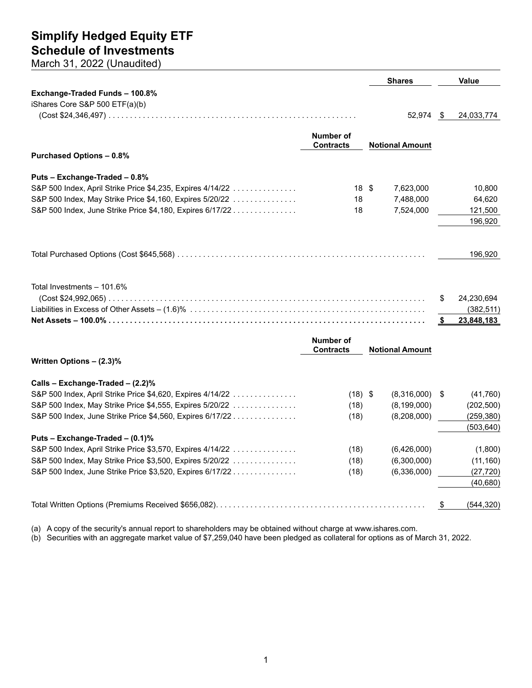**Shares Value Exchange-Traded Funds – 100.8%** iShares Core S&P 500 ETF(a)(b) (Cost \$24,346,497) .......................................................... 52,974 \$ 24,033,774 **Number of Contracts Notional Amount Purchased Options – 0.8% Puts – Exchange-Traded – 0.8%** S&P 500 Index, April Strike Price \$4,235, Expires 4/14/22 ............... 18 \$ 7,623,000 10,800 S&P 500 Index, May Strike Price \$4,160, Expires 5/20/22 ............... 18 7,488,000 64,620 S&P 500 Index, June Strike Price \$4,180, Expires 6/17/22 ............... 18 7,524,000 121,500 196,920 Total Purchased Options (Cost \$645,568) .......................................................... 196,920 Total Investments – 101.6% (Cost \$24,992,065) .......................................................................... \$ 24,230,694 Liabilities in Excess of Other Assets – (1.6)% ....................................................... (382,511) **Net Assets – 100.0% .......................................................................... \$ 23,848,183 Number of Contracts Notional Amount Written Options – (2.3)%**

|  |  |  |  |  |  | Calls – Exchange-Traded – (2.2)% |  |  |
|--|--|--|--|--|--|----------------------------------|--|--|
|  |  |  |  |  |  |                                  |  |  |

| S&P 500 Index, April Strike Price \$4,620, Expires 4/14/22 | (18) \$ | (8,316,000)   | (41,760)   |
|------------------------------------------------------------|---------|---------------|------------|
| S&P 500 Index, May Strike Price \$4,555, Expires 5/20/22   | (18)    | (8, 199, 000) | (202, 500) |
| S&P 500 Index, June Strike Price \$4,560, Expires 6/17/22  | (18)    | (8,208,000)   | (259, 380) |
|                                                            |         |               | (503, 640) |
| Puts – Exchange-Traded – $(0.1)$ %                         |         |               |            |
| S&P 500 Index, April Strike Price \$3,570, Expires 4/14/22 | (18)    | (6,426,000)   | (1,800)    |
| S&P 500 Index, May Strike Price \$3,500, Expires 5/20/22   | (18)    | (6,300,000)   | (11, 160)  |
| S&P 500 Index, June Strike Price \$3,520, Expires 6/17/22  | (18)    | (6,336,000)   | (27,720)   |
|                                                            |         |               | (40, 680)  |
|                                                            |         |               | (544, 320) |

(a) A copy of the security's annual report to shareholders may be obtained without charge at www.ishares.com.

(b) Securities with an aggregate market value of \$7,259,040 have been pledged as collateral for options as of March 31, 2022.